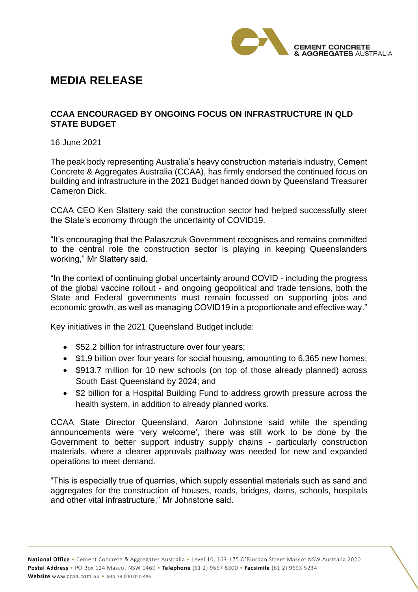

## **MEDIA RELEASE**

## **CCAA ENCOURAGED BY ONGOING FOCUS ON INFRASTRUCTURE IN QLD STATE BUDGET**

16 June 2021

The peak body representing Australia's heavy construction materials industry, Cement Concrete & Aggregates Australia (CCAA), has firmly endorsed the continued focus on building and infrastructure in the 2021 Budget handed down by Queensland Treasurer Cameron Dick.

CCAA CEO Ken Slattery said the construction sector had helped successfully steer the State's economy through the uncertainty of COVID19.

"It's encouraging that the Palaszczuk Government recognises and remains committed to the central role the construction sector is playing in keeping Queenslanders working," Mr Slattery said.

"In the context of continuing global uncertainty around COVID - including the progress of the global vaccine rollout - and ongoing geopolitical and trade tensions, both the State and Federal governments must remain focussed on supporting jobs and economic growth, as well as managing COVID19 in a proportionate and effective way."

Key initiatives in the 2021 Queensland Budget include:

- \$52.2 billion for infrastructure over four years;
- \$1.9 billion over four years for social housing, amounting to 6,365 new homes;
- \$913.7 million for 10 new schools (on top of those already planned) across South East Queensland by 2024; and
- \$2 billion for a Hospital Building Fund to address growth pressure across the health system, in addition to already planned works.

CCAA State Director Queensland, Aaron Johnstone said while the spending announcements were 'very welcome', there was still work to be done by the Government to better support industry supply chains - particularly construction materials, where a clearer approvals pathway was needed for new and expanded operations to meet demand.

"This is especially true of quarries, which supply essential materials such as sand and aggregates for the construction of houses, roads, bridges, dams, schools, hospitals and other vital infrastructure," Mr Johnstone said.